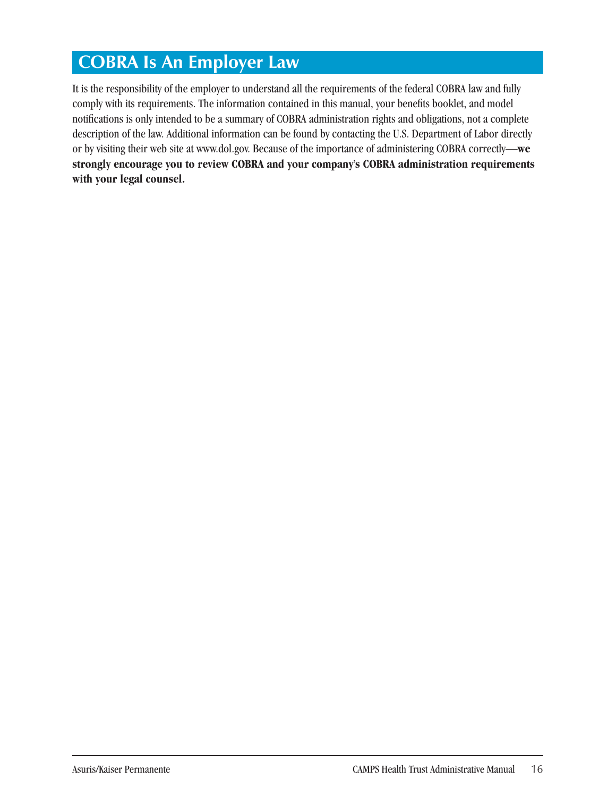# **COBRA Is An Employer Law**

It is the responsibility of the employer to understand all the requirements of the federal COBRA law and fully comply with its requirements. The information contained in this manual, your benefits booklet, and model notifications is only intended to be a summary of COBRA administration rights and obligations, not a complete description of the law. Additional information can be found by contacting the U.S. Department of Labor directly or by visiting their web site at www.dol.gov. Because of the importance of administering COBRA correctly—**we strongly encourage you to review COBRA and your company's COBRA administration requirements with your legal counsel.**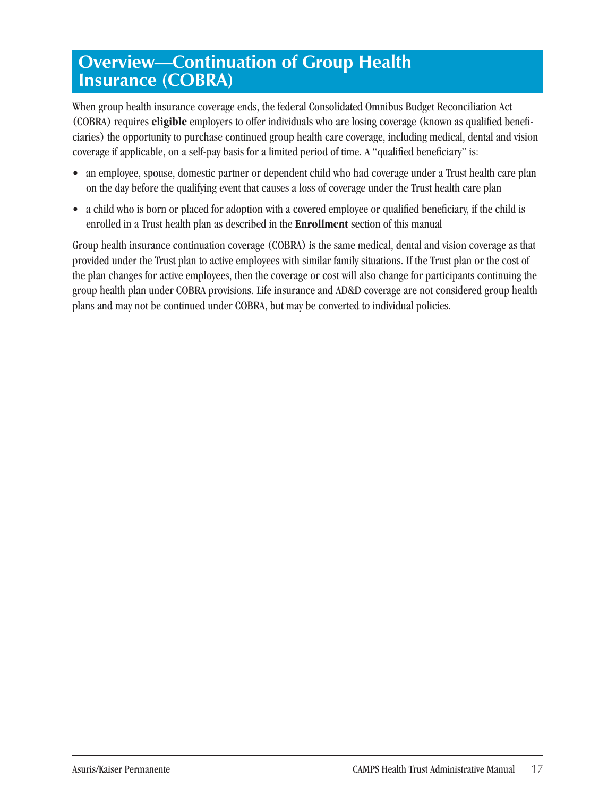# **Overview—Continuation of Group Health Insurance (COBRA)**

When group health insurance coverage ends, the federal Consolidated Omnibus Budget Reconciliation Act (COBRA) requires **eligible** employers to offer individuals who are losing coverage (known as qualified beneficiaries) the opportunity to purchase continued group health care coverage, including medical, dental and vision coverage if applicable, on a self-pay basis for a limited period of time. A "qualified beneficiary" is:

- an employee, spouse, domestic partner or dependent child who had coverage under a Trust health care plan on the day before the qualifying event that causes a loss of coverage under the Trust health care plan
- a child who is born or placed for adoption with a covered employee or qualified beneficiary, if the child is enrolled in a Trust health plan as described in the **Enrollment** section of this manual

Group health insurance continuation coverage (COBRA) is the same medical, dental and vision coverage as that provided under the Trust plan to active employees with similar family situations. If the Trust plan or the cost of the plan changes for active employees, then the coverage or cost will also change for participants continuing the group health plan under COBRA provisions. Life insurance and AD&D coverage are not considered group health plans and may not be continued under COBRA, but may be converted to individual policies.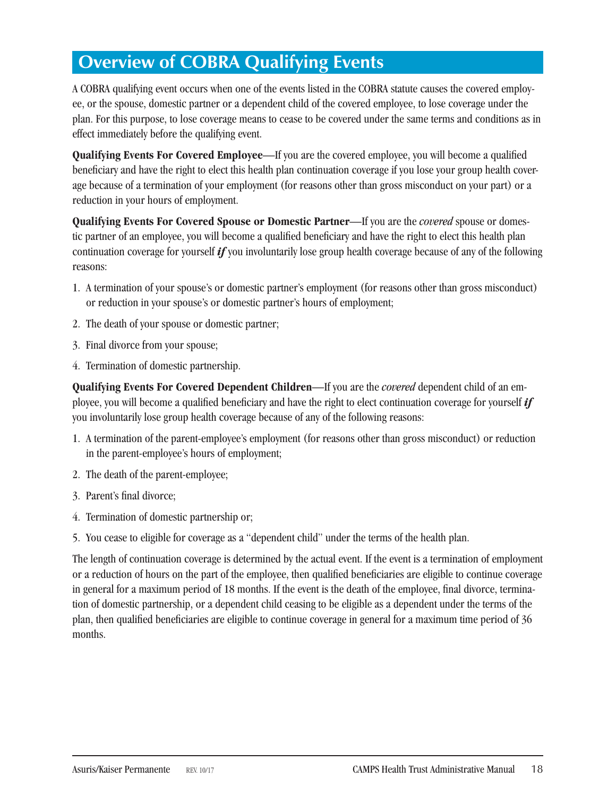# **Overview of COBRA Qualifying Events**

A COBRA qualifying event occurs when one of the events listed in the COBRA statute causes the covered employee, or the spouse, domestic partner or a dependent child of the covered employee, to lose coverage under the plan. For this purpose, to lose coverage means to cease to be covered under the same terms and conditions as in effect immediately before the qualifying event.

**Qualifying Events For Covered Employee**—If you are the covered employee, you will become a qualified beneficiary and have the right to elect this health plan continuation coverage if you lose your group health coverage because of a termination of your employment (for reasons other than gross misconduct on your part) or a reduction in your hours of employment.

**Qualifying Events For Covered Spouse or Domestic Partner**—If you are the *covered* spouse or domestic partner of an employee, you will become a qualified beneficiary and have the right to elect this health plan continuation coverage for yourself *if* you involuntarily lose group health coverage because of any of the following reasons:

- 1. A termination of your spouse's or domestic partner's employment (for reasons other than gross misconduct) or reduction in your spouse's or domestic partner's hours of employment;
- 2. The death of your spouse or domestic partner;
- 3. Final divorce from your spouse;
- 4. Termination of domestic partnership.

**Qualifying Events For Covered Dependent Children**—If you are the *covered* dependent child of an employee, you will become a qualified beneficiary and have the right to elect continuation coverage for yourself *if*  you involuntarily lose group health coverage because of any of the following reasons:

- 1. A termination of the parent-employee's employment (for reasons other than gross misconduct) or reduction in the parent-employee's hours of employment;
- 2. The death of the parent-employee;
- 3. Parent's final divorce;
- 4. Termination of domestic partnership or;
- 5. You cease to eligible for coverage as a "dependent child" under the terms of the health plan.

The length of continuation coverage is determined by the actual event. If the event is a termination of employment or a reduction of hours on the part of the employee, then qualified beneficiaries are eligible to continue coverage in general for a maximum period of 18 months. If the event is the death of the employee, final divorce, termination of domestic partnership, or a dependent child ceasing to be eligible as a dependent under the terms of the plan, then qualified beneficiaries are eligible to continue coverage in general for a maximum time period of 36 months.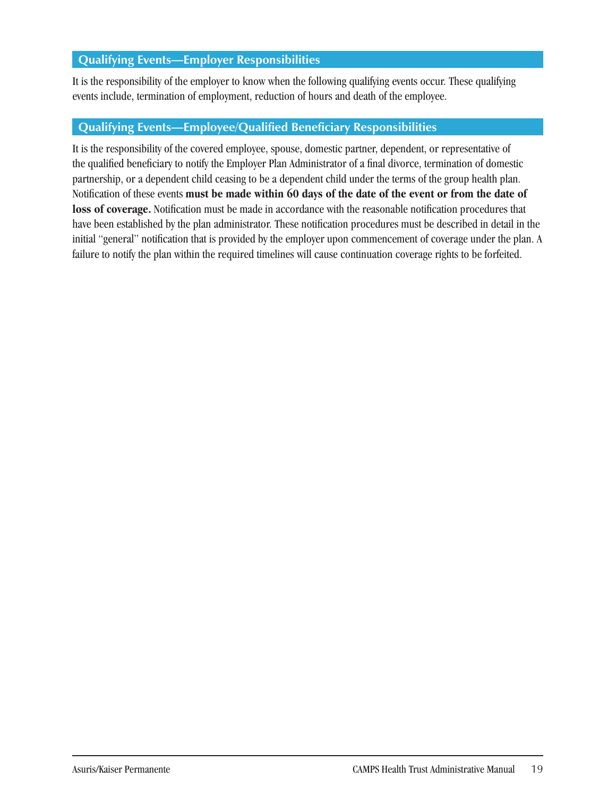### **Qualifying Events—Employer Responsibilities**

It is the responsibility of the employer to know when the following qualifying events occur. These qualifying events include, termination of employment, reduction of hours and death of the employee.

### **Qualifying Events—Employee/Qualified Beneficiary Responsibilities**

It is the responsibility of the covered employee, spouse, domestic partner, dependent, or representative of the qualified beneficiary to notify the Employer Plan Administrator of a final divorce, termination of domestic partnership, or a dependent child ceasing to be a dependent child under the terms of the group health plan. Notification of these events **must be made within 60 days of the date of the event or from the date of loss of coverage.** Notification must be made in accordance with the reasonable notification procedures that have been established by the plan administrator. These notification procedures must be described in detail in the initial "general" notification that is provided by the employer upon commencement of coverage under the plan. A failure to notify the plan within the required timelines will cause continuation coverage rights to be forfeited.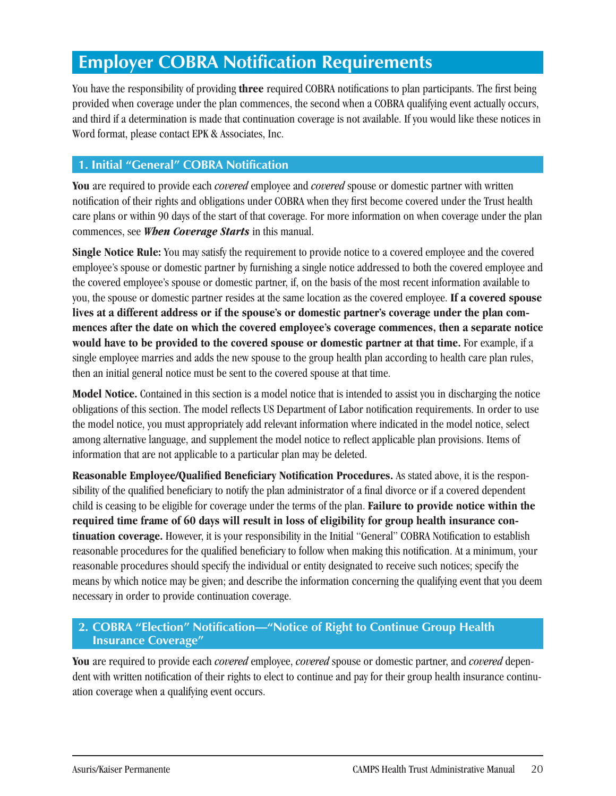## **Employer COBRA Notification Requirements**

You have the responsibility of providing **three** required COBRA notifications to plan participants. The first being provided when coverage under the plan commences, the second when a COBRA qualifying event actually occurs, and third if a determination is made that continuation coverage is not available. If you would like these notices in Word format, please contact EPK & Associates, Inc.

### **1. Initial "General" COBRA Notification**

**You** are required to provide each *covered* employee and *covered* spouse or domestic partner with written notification of their rights and obligations under COBRA when they first become covered under the Trust health care plans or within 90 days of the start of that coverage. For more information on when coverage under the plan commences, see *When Coverage Starts* in this manual.

**Single Notice Rule:** You may satisfy the requirement to provide notice to a covered employee and the covered employee's spouse or domestic partner by furnishing a single notice addressed to both the covered employee and the covered employee's spouse or domestic partner, if, on the basis of the most recent information available to you, the spouse or domestic partner resides at the same location as the covered employee. **If a covered spouse lives at a different address or if the spouse's or domestic partner's coverage under the plan commences after the date on which the covered employee's coverage commences, then a separate notice would have to be provided to the covered spouse or domestic partner at that time.** For example, if a single employee marries and adds the new spouse to the group health plan according to health care plan rules, then an initial general notice must be sent to the covered spouse at that time.

**Model Notice.** Contained in this section is a model notice that is intended to assist you in discharging the notice obligations of this section. The model reflects US Department of Labor notification requirements. In order to use the model notice, you must appropriately add relevant information where indicated in the model notice, select among alternative language, and supplement the model notice to reflect applicable plan provisions. Items of information that are not applicable to a particular plan may be deleted.

**Reasonable Employee/Qualified Beneficiary Notification Procedures.** As stated above, it is the responsibility of the qualified beneficiary to notify the plan administrator of a final divorce or if a covered dependent child is ceasing to be eligible for coverage under the terms of the plan. **Failure to provide notice within the required time frame of 60 days will result in loss of eligibility for group health insurance continuation coverage.** However, it is your responsibility in the Initial "General" COBRA Notification to establish reasonable procedures for the qualified beneficiary to follow when making this notification. At a minimum, your reasonable procedures should specify the individual or entity designated to receive such notices; specify the means by which notice may be given; and describe the information concerning the qualifying event that you deem necessary in order to provide continuation coverage.

### **2. COBRA "Election" Notification—"Notice of Right to Continue Group Health Insurance Coverage"**

**You** are required to provide each *covered* employee, *covered* spouse or domestic partner, and *covered* dependent with written notification of their rights to elect to continue and pay for their group health insurance continuation coverage when a qualifying event occurs.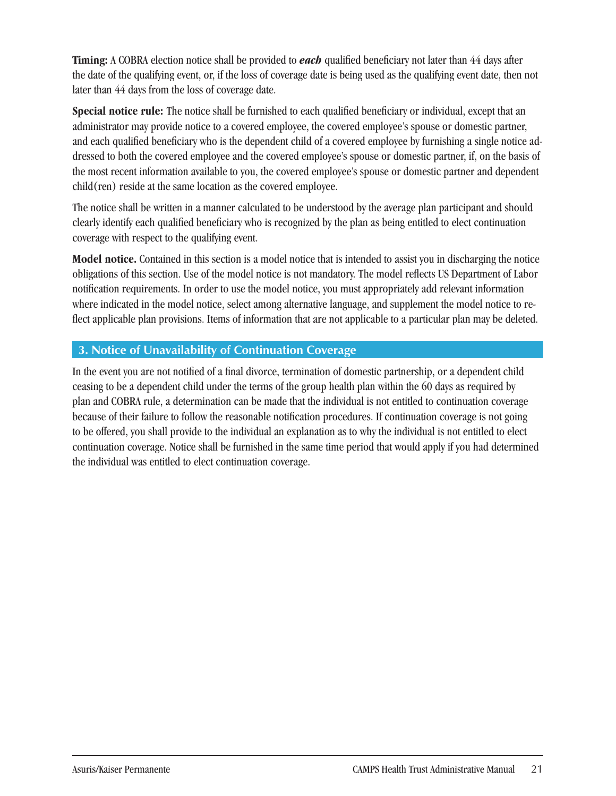**Timing:** A COBRA election notice shall be provided to *each* qualified beneficiary not later than 44 days after the date of the qualifying event, or, if the loss of coverage date is being used as the qualifying event date, then not later than 44 days from the loss of coverage date.

**Special notice rule:** The notice shall be furnished to each qualified beneficiary or individual, except that an administrator may provide notice to a covered employee, the covered employee's spouse or domestic partner, and each qualified beneficiary who is the dependent child of a covered employee by furnishing a single notice addressed to both the covered employee and the covered employee's spouse or domestic partner, if, on the basis of the most recent information available to you, the covered employee's spouse or domestic partner and dependent child(ren) reside at the same location as the covered employee.

The notice shall be written in a manner calculated to be understood by the average plan participant and should clearly identify each qualified beneficiary who is recognized by the plan as being entitled to elect continuation coverage with respect to the qualifying event.

**Model notice.** Contained in this section is a model notice that is intended to assist you in discharging the notice obligations of this section. Use of the model notice is not mandatory. The model reflects US Department of Labor notification requirements. In order to use the model notice, you must appropriately add relevant information where indicated in the model notice, select among alternative language, and supplement the model notice to reflect applicable plan provisions. Items of information that are not applicable to a particular plan may be deleted.

### **3. Notice of Unavailability of Continuation Coverage**

In the event you are not notified of a final divorce, termination of domestic partnership, or a dependent child ceasing to be a dependent child under the terms of the group health plan within the 60 days as required by plan and COBRA rule, a determination can be made that the individual is not entitled to continuation coverage because of their failure to follow the reasonable notification procedures. If continuation coverage is not going to be offered, you shall provide to the individual an explanation as to why the individual is not entitled to elect continuation coverage. Notice shall be furnished in the same time period that would apply if you had determined the individual was entitled to elect continuation coverage.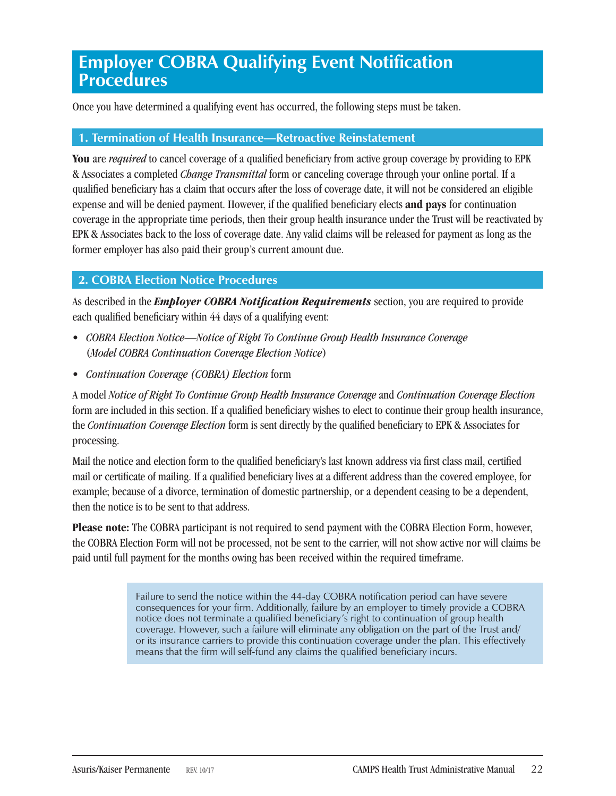### **Employer COBRA Qualifying Event Notification Procedures**

Once you have determined a qualifying event has occurred, the following steps must be taken.

#### **1. Termination of Health Insurance—Retroactive Reinstatement**

**You** are *required* to cancel coverage of a qualified beneficiary from active group coverage by providing to EPK & Associates a completed *Change Transmittal* form or canceling coverage through your online portal. If a qualified beneficiary has a claim that occurs after the loss of coverage date, it will not be considered an eligible expense and will be denied payment. However, if the qualified beneficiary elects **and pays** for continuation coverage in the appropriate time periods, then their group health insurance under the Trust will be reactivated by EPK & Associates back to the loss of coverage date. Any valid claims will be released for payment as long as the former employer has also paid their group's current amount due.

#### **2. COBRA Election Notice Procedures**

As described in the *Employer COBRA Notification Requirements* section, you are required to provide each qualified beneficiary within 44 days of a qualifying event:

- *COBRA Election Notice—Notice of Right To Continue Group Health Insurance Coverage* (*Model COBRA Continuation Coverage Election Notice*)
- *Continuation Coverage (COBRA) Election* form

A model *Notice of Right To Continue Group Health Insurance Coverage* and *Continuation Coverage Election*  form are included in this section. If a qualified beneficiary wishes to elect to continue their group health insurance, the *Continuation Coverage Election* form is sent directly by the qualified beneficiary to EPK & Associates for processing.

Mail the notice and election form to the qualified beneficiary's last known address via first class mail, certified mail or certificate of mailing. If a qualified beneficiary lives at a different address than the covered employee, for example; because of a divorce, termination of domestic partnership, or a dependent ceasing to be a dependent, then the notice is to be sent to that address.

**Please note:** The COBRA participant is not required to send payment with the COBRA Election Form, however, the COBRA Election Form will not be processed, not be sent to the carrier, will not show active nor will claims be paid until full payment for the months owing has been received within the required timeframe.

> Failure to send the notice within the 44-day COBRA notification period can have severe consequences for your firm. Additionally, failure by an employer to timely provide a COBRA notice does not terminate a qualified beneficiary's right to continuation of group health coverage. However, such a failure will eliminate any obligation on the part of the Trust and/ or its insurance carriers to provide this continuation coverage under the plan. This effectively means that the firm will self-fund any claims the qualified beneficiary incurs.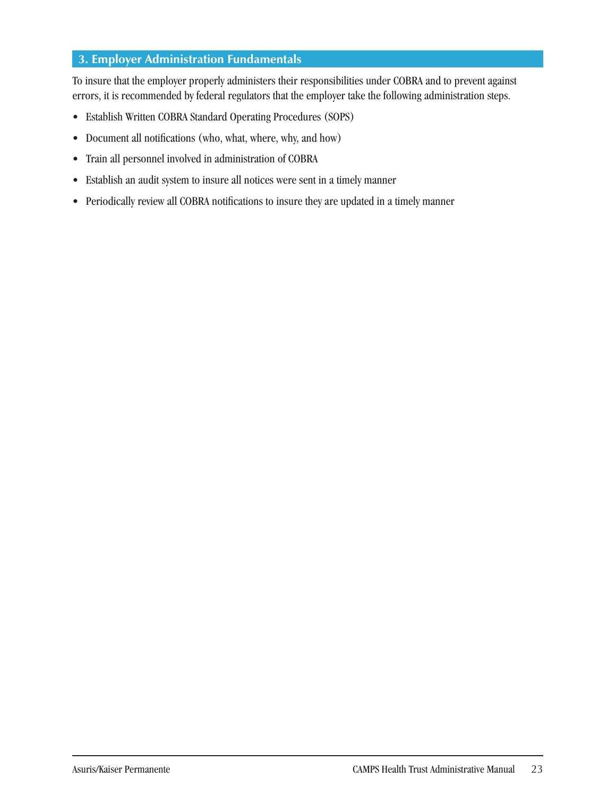### **3. Employer Administration Fundamentals**

To insure that the employer properly administers their responsibilities under COBRA and to prevent against errors, it is recommended by federal regulators that the employer take the following administration steps.

- Establish Written COBRA Standard Operating Procedures (SOPS)
- Document all notifications (who, what, where, why, and how)
- Train all personnel involved in administration of COBRA
- Establish an audit system to insure all notices were sent in a timely manner
- Periodically review all COBRA notifications to insure they are updated in a timely manner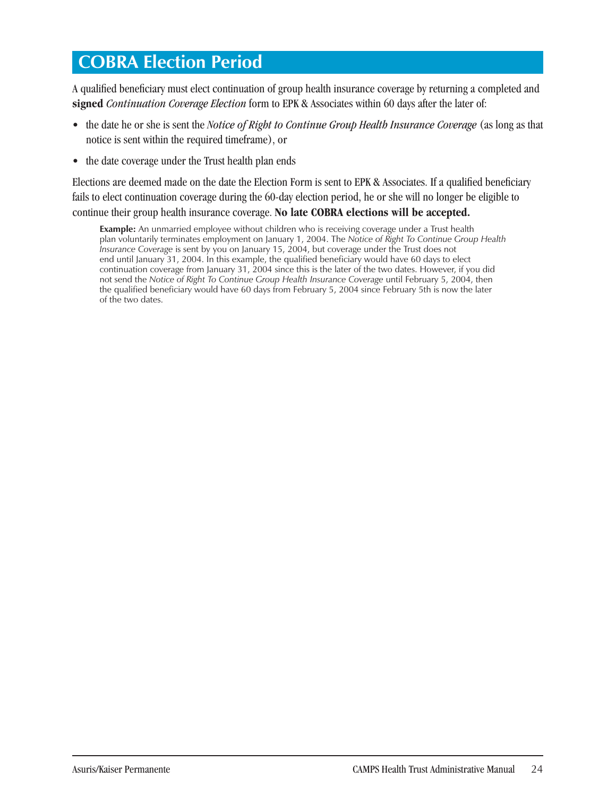### **COBRA Election Period**

A qualified beneficiary must elect continuation of group health insurance coverage by returning a completed and **signed** *Continuation Coverage Election* form to EPK & Associates within 60 days after the later of:

- the date he or she is sent the *Notice of Right to Continue Group Health Insurance Coverage* (as long as that notice is sent within the required timeframe), or
- the date coverage under the Trust health plan ends

Elections are deemed made on the date the Election Form is sent to EPK & Associates. If a qualified beneficiary fails to elect continuation coverage during the 60-day election period, he or she will no longer be eligible to continue their group health insurance coverage. **No late COBRA elections will be accepted.** 

**Example:** An unmarried employee without children who is receiving coverage under a Trust health plan voluntarily terminates employment on January 1, 2004. The *Notice of Right To Continue Group Health Insurance Coverage* is sent by you on January 15, 2004, but coverage under the Trust does not end until January 31, 2004. In this example, the qualified beneficiary would have 60 days to elect continuation coverage from January 31, 2004 since this is the later of the two dates. However, if you did not send the *Notice of Right To Continue Group Health Insurance Coverage until February 5, 2004, then* the qualified beneficiary would have 60 days from February 5, 2004 since February 5th is now the later of the two dates.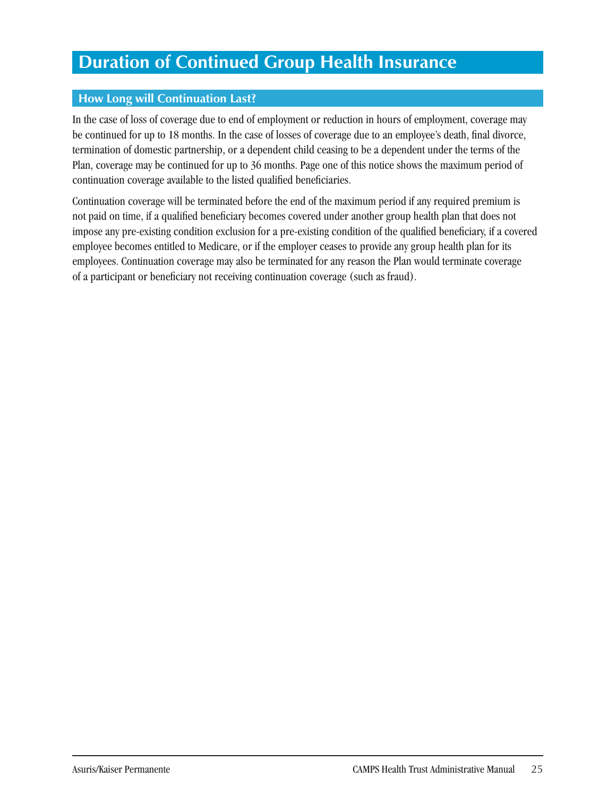## **Duration of Continued Group Health Insurance**

### **How Long will Continuation Last?**

In the case of loss of coverage due to end of employment or reduction in hours of employment, coverage may be continued for up to 18 months. In the case of losses of coverage due to an employee's death, final divorce, termination of domestic partnership, or a dependent child ceasing to be a dependent under the terms of the Plan, coverage may be continued for up to 36 months. Page one of this notice shows the maximum period of continuation coverage available to the listed qualified beneficiaries.

Continuation coverage will be terminated before the end of the maximum period if any required premium is not paid on time, if a qualified beneficiary becomes covered under another group health plan that does not impose any pre-existing condition exclusion for a pre-existing condition of the qualified beneficiary, if a covered employee becomes entitled to Medicare, or if the employer ceases to provide any group health plan for its employees. Continuation coverage may also be terminated for any reason the Plan would terminate coverage of a participant or beneficiary not receiving continuation coverage (such as fraud).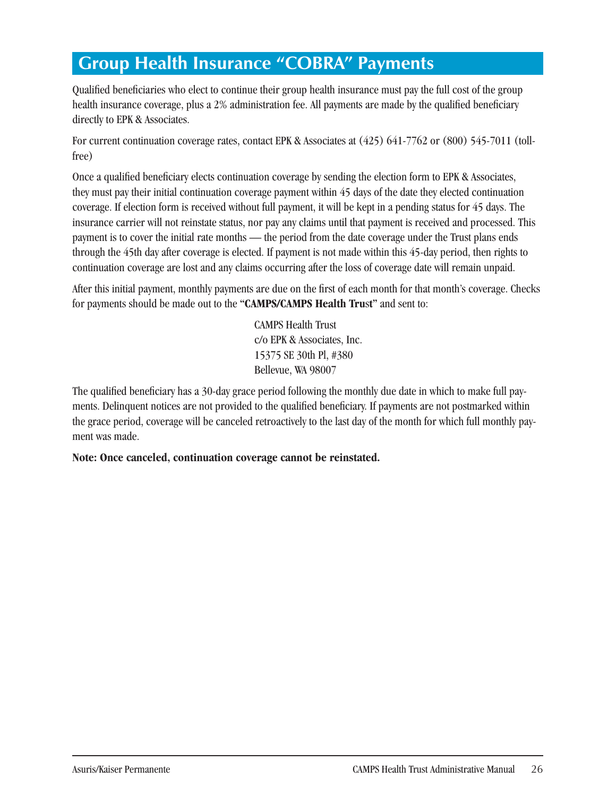# **Group Health Insurance "COBRA" Payments**

Qualified beneficiaries who elect to continue their group health insurance must pay the full cost of the group health insurance coverage, plus a 2% administration fee. All payments are made by the qualified beneficiary directly to EPK & Associates.

For current continuation coverage rates, contact EPK & Associates at (425) 641-7762 or (800) 545-7011 (tollfree)

Once a qualified beneficiary elects continuation coverage by sending the election form to EPK & Associates, they must pay their initial continuation coverage payment within 45 days of the date they elected continuation coverage. If election form is received without full payment, it will be kept in a pending status for 45 days. The insurance carrier will not reinstate status, nor pay any claims until that payment is received and processed. This payment is to cover the initial rate months — the period from the date coverage under the Trust plans ends through the 45th day after coverage is elected. If payment is not made within this 45-day period, then rights to continuation coverage are lost and any claims occurring after the loss of coverage date will remain unpaid.

After this initial payment, monthly payments are due on the first of each month for that month's coverage. Checks for payments should be made out to the **"CAMPS/CAMPS Health Tru**s**t"** and sent to:

> CAMPS Health Trust c/o EPK & Associates, Inc. 15375 SE 30th Pl, #380 Bellevue, WA 98007

The qualified beneficiary has a 30-day grace period following the monthly due date in which to make full payments. Delinquent notices are not provided to the qualified beneficiary. If payments are not postmarked within the grace period, coverage will be canceled retroactively to the last day of the month for which full monthly payment was made.

**Note: Once canceled, continuation coverage cannot be reinstated.**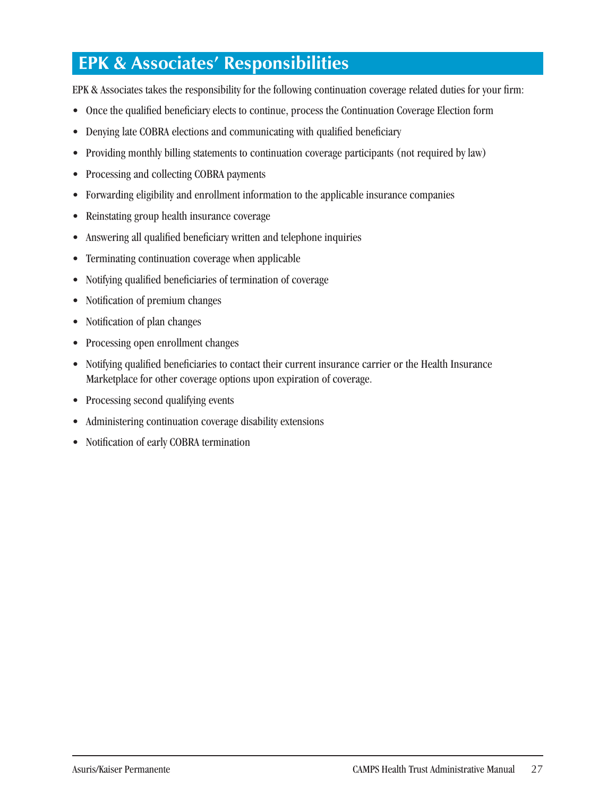# **EPK & Associates' Responsibilities**

EPK & Associates takes the responsibility for the following continuation coverage related duties for your firm:

- Once the qualified beneficiary elects to continue, process the Continuation Coverage Election form
- Denying late COBRA elections and communicating with qualified beneficiary
- Providing monthly billing statements to continuation coverage participants (not required by law)
- Processing and collecting COBRA payments
- Forwarding eligibility and enrollment information to the applicable insurance companies
- Reinstating group health insurance coverage
- Answering all qualified beneficiary written and telephone inquiries
- Terminating continuation coverage when applicable
- Notifying qualified beneficiaries of termination of coverage
- Notification of premium changes
- Notification of plan changes
- Processing open enrollment changes
- Notifying qualified beneficiaries to contact their current insurance carrier or the Health Insurance Marketplace for other coverage options upon expiration of coverage.
- Processing second qualifying events
- Administering continuation coverage disability extensions
- Notification of early COBRA termination